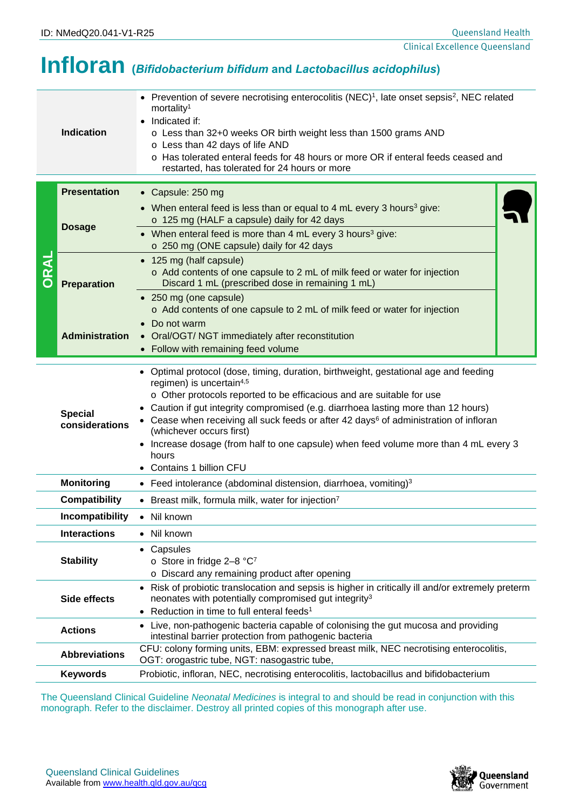## **Infloran (***Bifidobacterium bifidum* **and** *Lactobacillus acidophilus***)**

|                                                                                                                                                                                                                | <b>Indication</b>                                                                                         | • Prevention of severe necrotising enterocolitis (NEC) <sup>1</sup> , late onset sepsis <sup>2</sup> , NEC related<br>mortality <sup>1</sup><br>Indicated if:<br>o Less than 32+0 weeks OR birth weight less than 1500 grams AND<br>o Less than 42 days of life AND<br>o Has tolerated enteral feeds for 48 hours or more OR if enteral feeds ceased and<br>restarted, has tolerated for 24 hours or more                                                                                                                                           |  |  |  |
|----------------------------------------------------------------------------------------------------------------------------------------------------------------------------------------------------------------|-----------------------------------------------------------------------------------------------------------|-----------------------------------------------------------------------------------------------------------------------------------------------------------------------------------------------------------------------------------------------------------------------------------------------------------------------------------------------------------------------------------------------------------------------------------------------------------------------------------------------------------------------------------------------------|--|--|--|
|                                                                                                                                                                                                                | <b>Presentation</b>                                                                                       | • Capsule: 250 mg                                                                                                                                                                                                                                                                                                                                                                                                                                                                                                                                   |  |  |  |
| DRAL                                                                                                                                                                                                           | <b>Dosage</b>                                                                                             | • When enteral feed is less than or equal to 4 mL every 3 hours <sup>3</sup> give:<br>o 125 mg (HALF a capsule) daily for 42 days                                                                                                                                                                                                                                                                                                                                                                                                                   |  |  |  |
|                                                                                                                                                                                                                |                                                                                                           | • When enteral feed is more than 4 mL every 3 hours <sup>3</sup> give:<br>o 250 mg (ONE capsule) daily for 42 days                                                                                                                                                                                                                                                                                                                                                                                                                                  |  |  |  |
|                                                                                                                                                                                                                | <b>Preparation</b>                                                                                        | • 125 mg (half capsule)<br>o Add contents of one capsule to 2 mL of milk feed or water for injection<br>Discard 1 mL (prescribed dose in remaining 1 mL)<br>• 250 mg (one capsule)                                                                                                                                                                                                                                                                                                                                                                  |  |  |  |
|                                                                                                                                                                                                                |                                                                                                           | o Add contents of one capsule to 2 mL of milk feed or water for injection                                                                                                                                                                                                                                                                                                                                                                                                                                                                           |  |  |  |
|                                                                                                                                                                                                                | <b>Administration</b>                                                                                     | Do not warm<br>• Oral/OGT/ NGT immediately after reconstitution                                                                                                                                                                                                                                                                                                                                                                                                                                                                                     |  |  |  |
|                                                                                                                                                                                                                |                                                                                                           | • Follow with remaining feed volume                                                                                                                                                                                                                                                                                                                                                                                                                                                                                                                 |  |  |  |
| <b>Special</b><br>considerations                                                                                                                                                                               |                                                                                                           | • Optimal protocol (dose, timing, duration, birthweight, gestational age and feeding<br>regimen) is uncertain <sup>4,5</sup><br>o Other protocols reported to be efficacious and are suitable for use<br>Caution if gut integrity compromised (e.g. diarrhoea lasting more than 12 hours)<br>• Cease when receiving all suck feeds or after 42 days <sup>6</sup> of administration of infloran<br>(whichever occurs first)<br>Increase dosage (from half to one capsule) when feed volume more than 4 mL every 3<br>hours<br>Contains 1 billion CFU |  |  |  |
|                                                                                                                                                                                                                | <b>Monitoring</b>                                                                                         | • Feed intolerance (abdominal distension, diarrhoea, vomiting) <sup>3</sup>                                                                                                                                                                                                                                                                                                                                                                                                                                                                         |  |  |  |
|                                                                                                                                                                                                                | <b>Compatibility</b>                                                                                      | • Breast milk, formula milk, water for injection7                                                                                                                                                                                                                                                                                                                                                                                                                                                                                                   |  |  |  |
| <b>Incompatibility</b><br>• Nil known                                                                                                                                                                          |                                                                                                           |                                                                                                                                                                                                                                                                                                                                                                                                                                                                                                                                                     |  |  |  |
| <b>Interactions</b>                                                                                                                                                                                            |                                                                                                           | Nil known<br>$\bullet$                                                                                                                                                                                                                                                                                                                                                                                                                                                                                                                              |  |  |  |
| <b>Stability</b>                                                                                                                                                                                               |                                                                                                           | Capsules<br>٠<br>o Store in fridge 2-8 °C7<br>o Discard any remaining product after opening                                                                                                                                                                                                                                                                                                                                                                                                                                                         |  |  |  |
| Side effects                                                                                                                                                                                                   |                                                                                                           | • Risk of probiotic translocation and sepsis is higher in critically ill and/or extremely preterm<br>neonates with potentially compromised gut integrity <sup>3</sup><br>Reduction in time to full enteral feeds <sup>1</sup>                                                                                                                                                                                                                                                                                                                       |  |  |  |
| <b>Actions</b>                                                                                                                                                                                                 |                                                                                                           | Live, non-pathogenic bacteria capable of colonising the gut mucosa and providing<br>intestinal barrier protection from pathogenic bacteria                                                                                                                                                                                                                                                                                                                                                                                                          |  |  |  |
|                                                                                                                                                                                                                | <b>Abbreviations</b>                                                                                      | CFU: colony forming units, EBM: expressed breast milk, NEC necrotising enterocolitis,<br>OGT: orogastric tube, NGT: nasogastric tube,                                                                                                                                                                                                                                                                                                                                                                                                               |  |  |  |
|                                                                                                                                                                                                                | Probiotic, infloran, NEC, necrotising enterocolitis, lactobacillus and bifidobacterium<br><b>Keywords</b> |                                                                                                                                                                                                                                                                                                                                                                                                                                                                                                                                                     |  |  |  |
| The Queensland Clinical Guideline Neonatal Medicines is integral to and should be read in conjunction with this<br>monograph. Refer to the disclaimer. Destroy all printed copies of this monograph after use. |                                                                                                           |                                                                                                                                                                                                                                                                                                                                                                                                                                                                                                                                                     |  |  |  |